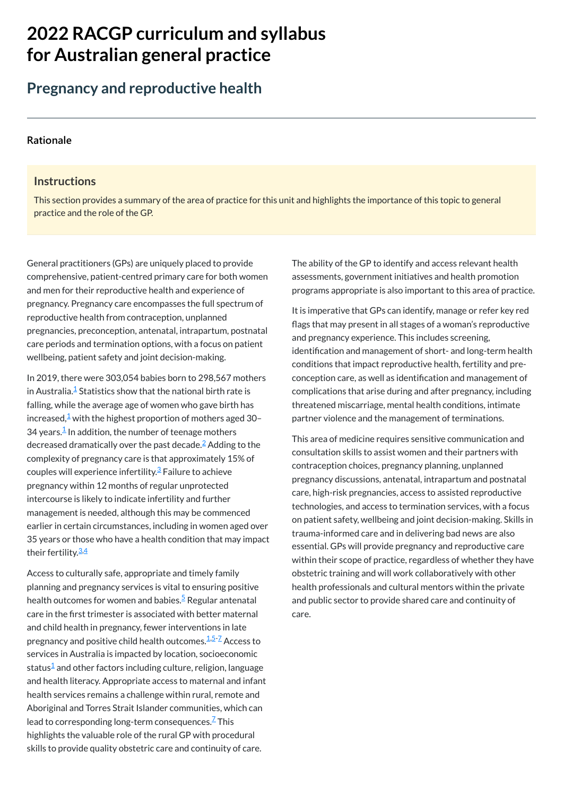# **2022 RACGP curriculum and syllabus for Australian [general practice](https://www.racgp.org.au/Curriculum-and-Syllabus/home)**

# **Pregnancy and reproductive health**

#### **[Rationale](javascript:void(0))**

#### **Instructions**

This section provides a summary of the area of practice for this unit and highlights the importance of this topic to general practice and the role of the GP.

In 2019, there were 303,054 babies born to 298,567 mothers in Australia. ${}^{\underline{1}}$  ${}^{\underline{1}}$  ${}^{\underline{1}}$  Statistics show that the national birth rate is falling, while the average age of women who gave birth has increased, $\frac{1}{2}$  $\frac{1}{2}$  $\frac{1}{2}$  with the highest proportion of mothers aged 30– 34 years. $\frac{1}{2}$  $\frac{1}{2}$  $\frac{1}{2}$  In addition, the number of teenage mothers decreased dramatically over the past decade.<sup>[2](#page-1-1)</sup> Adding to the complexity of pregnancy care is that approximately 15% of couples will experience infertility.<sup>[3](#page-1-2)</sup> Failure to achieve pregnancy within 12 months of regular unprotected intercourse is likely to indicate infertility and further management is needed, although this may be commenced earlier in certain circumstances, including in women aged over 35 years or those who have a health condition that may impact their fertility.<sup>3.[4](#page-1-3)</sup>

General practitioners (GPs) are uniquely placed to provide comprehensive, patient-centred primary care for both women and men for their reproductive health and experience of pregnancy. Pregnancy care encompasses the full spectrum of reproductive health from contraception, unplanned pregnancies, preconception, antenatal, intrapartum, postnatal care periods and termination options, with a focus on patient wellbeing, patient safety and joint decision-making.

Access to culturally safe, appropriate and timely family planning and pregnancy services is vital to ensuring positive health outcomes for women and babies.<sup>[5](#page-1-4)</sup> Regular antenatal

care in the first trimester is associated with better maternal and child health in pregnancy, fewer interventions in late pregnancy and positive child health outcomes.<sup>[1](#page-1-0)[,5](#page-1-4)[-7](#page-1-5)</sup> Access to services in Australia is impacted by location, socioeconomic status $^{\underline{1}}$  $^{\underline{1}}$  $^{\underline{1}}$  and other factors including culture, religion, language and health literacy. Appropriate access to maternal and infant health services remains a challenge within rural, remote and Aboriginal and Torres Strait Islander communities, which can lead to corresponding long-term consequences. $\frac{7}{5}$  $\frac{7}{5}$  $\frac{7}{5}$ This highlights the valuable role of the rural GP with procedural skills to provide quality obstetric care and continuity of care.

The ability of the GP to identify and access relevant health assessments, government initiatives and health promotion programs appropriate is also important to this area of practice.

It is imperative that GPs can identify, manage or refer key red flags that may present in all stages of a woman's reproductive and pregnancy experience. This includes screening, identification and management of short- and long-term health conditions that impact reproductive health, fertility and preconception care, as well as identification and management of complications that arise during and after pregnancy, including threatened miscarriage, mental health conditions, intimate partner violence and the management of terminations.

This area of medicine requires sensitive communication and consultation skills to assist women and their partners with contraception choices, pregnancy planning, unplanned pregnancy discussions, antenatal, intrapartum and postnatal care, high-risk pregnancies, access to assisted reproductive technologies, and access to termination services, with a focus on patient safety, wellbeing and joint decision-making. Skills in trauma-informed care and in delivering bad news are also essential. GPs will provide pregnancy and reproductive care within their scope of practice, regardless of whether they have obstetric training and will work collaboratively with other health professionals and cultural mentors within the private and public sector to provide shared care and continuity of

care.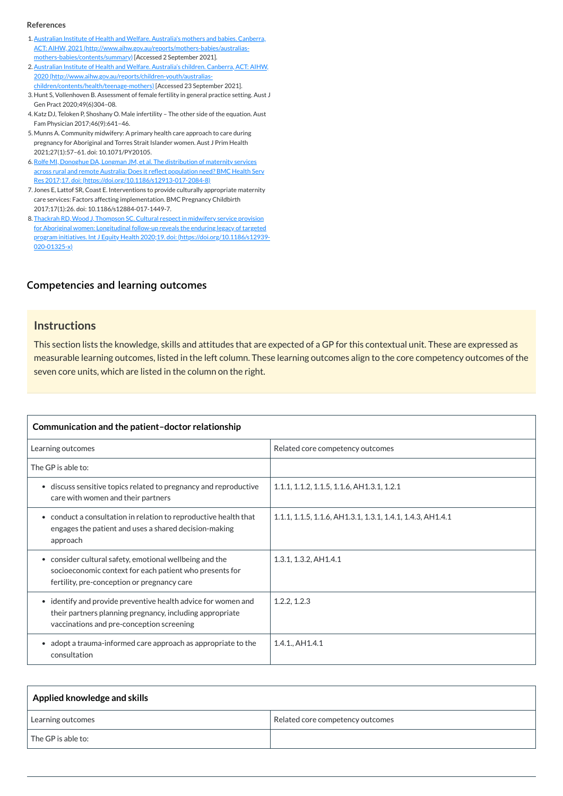#### **[Competencies and learning outcomes](javascript:void(0))**

#### **Instructions**

This section lists the knowledge, skills and attitudes that are expected of a GP for this contextual unit. These are expressed as measurable learning outcomes, listed in the left column. These learning outcomes align to the core competency outcomes of the seven core units, which are listed in the column on the right.

| Communication and the patient-doctor relationship                                                                                                                      |                                                            |
|------------------------------------------------------------------------------------------------------------------------------------------------------------------------|------------------------------------------------------------|
| Learning outcomes                                                                                                                                                      | Related core competency outcomes                           |
| The GP is able to:                                                                                                                                                     |                                                            |
| discuss sensitive topics related to pregnancy and reproductive<br>$\bullet$<br>care with women and their partners                                                      | 1.1.1, 1.1.2, 1.1.5, 1.1.6, AH1.3.1, 1.2.1                 |
| • conduct a consultation in relation to reproductive health that<br>engages the patient and uses a shared decision-making<br>approach                                  | 1.1.1, 1.1.5, 1.1.6, AH1.3.1, 1.3.1, 1.4.1, 1.4.3, AH1.4.1 |
| • consider cultural safety, emotional wellbeing and the<br>socioeconomic context for each patient who presents for<br>fertility, pre-conception or pregnancy care      | 1.3.1, 1.3.2, A H1.4.1                                     |
| • identify and provide preventive health advice for women and<br>their partners planning pregnancy, including appropriate<br>vaccinations and pre-conception screening | 1.2.2, 1.2.3                                               |
| adopt a trauma-informed care approach as appropriate to the<br>$\bullet$<br>consultation                                                                               | 1.4.1., AH1.4.1                                            |

| Applied knowledge and skills |                                  |
|------------------------------|----------------------------------|
| Learning outcomes            | Related core competency outcomes |
| $\sf I$ The GP is able to:   |                                  |

#### **References**

- <span id="page-1-0"></span>1. Australian Institute of Health and Welfare. Australia's mothers and babies. Canberra, ACT: AIHW, 2021 [\(http://www.aihw.gov.au/reports/mothers-babies/australias](http://www.aihw.gov.au/reports/mothers-babies/australias-mothers-babies/contents/summary)mothers-babies/contents/summary) [Accessed 2 September 2021].
- <span id="page-1-1"></span>2. Australian Institute of Health and Welfare. Australia's children. Canberra, ACT: AIHW, 2020 [\(http://www.aihw.gov.au/reports/children-youth/australias](http://www.aihw.gov.au/reports/children-youth/australias-children/contents/health/teenage-mothers)children/contents/health/teenage-mothers) [Accessed 23 September 2021].
- <span id="page-1-2"></span>3. Hunt S, Vollenhoven B. Assessment of female fertility in general practice setting. Aust J Gen Pract 2020;49(6)304–08.
- <span id="page-1-3"></span>4.Katz DJ, Teloken P, Shoshany O. Male infertility – The other side of the equation. Aust Fam Physician 2017;46(9):641–46.
- <span id="page-1-4"></span>5. Munns A. Community midwifery: A primary health care approach to care during pregnancy for Aboriginal and Torres Strait Islander women. Aust J Prim Health 2021;27(1):57–61. doi: 10.1071/PY20105.
- 6.Rolfe MI, Donoghue DA, Longman JM, et al. The distribution of maternity services across rural and remote Australia: Does it reflect population need? BMC Health Serv Res 2017;17. doi: [\(https://doi.org/10.1186/s12913-017-2084-8\)](https://doi.org/10.1186/s12913-017-2084-8)
- <span id="page-1-5"></span>7. Jones E, Lattof SR, Coast E. Interventions to provide culturally appropriate maternity care services: Factors affecting implementation. BMC Pregnancy Childbirth 2017;17(1):26. doi: 10.1186/s12884-017-1449-7.
- 8. Thackrah RD, Wood J, Thompson SC. Cultural respect in midwifery service provision for Aboriginal women: Longitudinal follow-up reveals the enduring legacy of targeted program initiatives. Int J Equity Health 2020;19. doi: [\(https://doi.org/10.1186/s12939-](https://doi.org/10.1186/s12939-020-01325-x) 020-01325-x)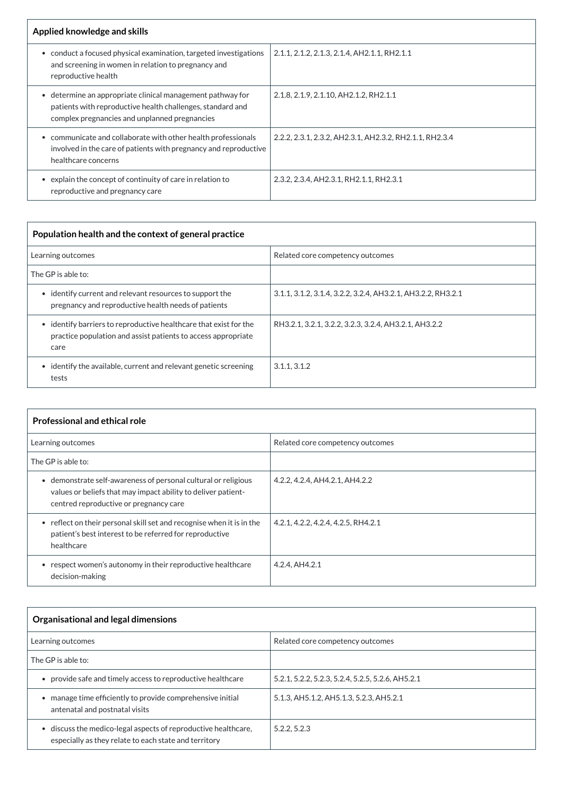| Applied knowledge and skills                                                                                                                                                         |                                                         |
|--------------------------------------------------------------------------------------------------------------------------------------------------------------------------------------|---------------------------------------------------------|
| conduct a focused physical examination, targeted investigations<br>and screening in women in relation to pregnancy and<br>reproductive health                                        | 2.1.1, 2.1.2, 2.1.3, 2.1.4, AH2.1.1, RH2.1.1            |
| determine an appropriate clinical management pathway for<br>$\bullet$<br>patients with reproductive health challenges, standard and<br>complex pregnancies and unplanned pregnancies | 2.1.8, 2.1.9, 2.1.10, AH2.1.2, RH2.1.1                  |
| communicate and collaborate with other health professionals<br>involved in the care of patients with pregnancy and reproductive<br>healthcare concerns                               | 2.2.2, 2.3.1, 2.3.2, AH2.3.1, AH2.3.2, RH2.1.1, RH2.3.4 |
| explain the concept of continuity of care in relation to<br>reproductive and pregnancy care                                                                                          | 2.3.2, 2.3.4, AH2.3.1, RH2.1.1, RH2.3.1                 |

| Population health and the context of general practice                                                                                      |                                                              |  |
|--------------------------------------------------------------------------------------------------------------------------------------------|--------------------------------------------------------------|--|
| Learning outcomes                                                                                                                          | Related core competency outcomes                             |  |
| The GP is able to:                                                                                                                         |                                                              |  |
| identify current and relevant resources to support the<br>$\bullet$<br>pregnancy and reproductive health needs of patients                 | 3.1.1, 3.1.2, 3.1.4, 3.2.2, 3.2.4, AH3.2.1, AH3.2.2, RH3.2.1 |  |
| • identify barriers to reproductive healthcare that exist for the<br>practice population and assist patients to access appropriate<br>care | RH3.2.1, 3.2.1, 3.2.2, 3.2.3, 3.2.4, AH3.2.1, AH3.2.2        |  |
| identify the available, current and relevant genetic screening<br>tests                                                                    | 3.1.1, 3.1.2                                                 |  |

| <b>Professional and ethical role</b>                                                                                                                                    |                                     |
|-------------------------------------------------------------------------------------------------------------------------------------------------------------------------|-------------------------------------|
| Learning outcomes                                                                                                                                                       | Related core competency outcomes    |
| The GP is able to:                                                                                                                                                      |                                     |
| demonstrate self-awareness of personal cultural or religious<br>values or beliefs that may impact ability to deliver patient-<br>centred reproductive or pregnancy care | 4.2.2, 4.2.4, AH4.2.1, AH4.2.2      |
| reflect on their personal skill set and recognise when it is in the<br>patient's best interest to be referred for reproductive<br>healthcare                            | 4.2.1, 4.2.2, 4.2.4, 4.2.5, RH4.2.1 |
| respect women's autonomy in their reproductive healthcare<br>decision-making                                                                                            | 4.2.4, AH4.2.1                      |

# **Organisational and legal dimensions**

| Learning outcomes                                                                                                     | Related core competency outcomes                  |
|-----------------------------------------------------------------------------------------------------------------------|---------------------------------------------------|
| The GP is able to:                                                                                                    |                                                   |
| provide safe and timely access to reproductive healthcare                                                             | 5.2.1, 5.2.2, 5.2.3, 5.2.4, 5.2.5, 5.2.6, AH5.2.1 |
| manage time efficiently to provide comprehensive initial<br>antenatal and postnatal visits                            | 5.1.3, AH5.1.2, AH5.1.3, 5.2.3, AH5.2.1           |
| discuss the medico-legal aspects of reproductive healthcare,<br>especially as they relate to each state and territory | 5.2.2, 5.2.3                                      |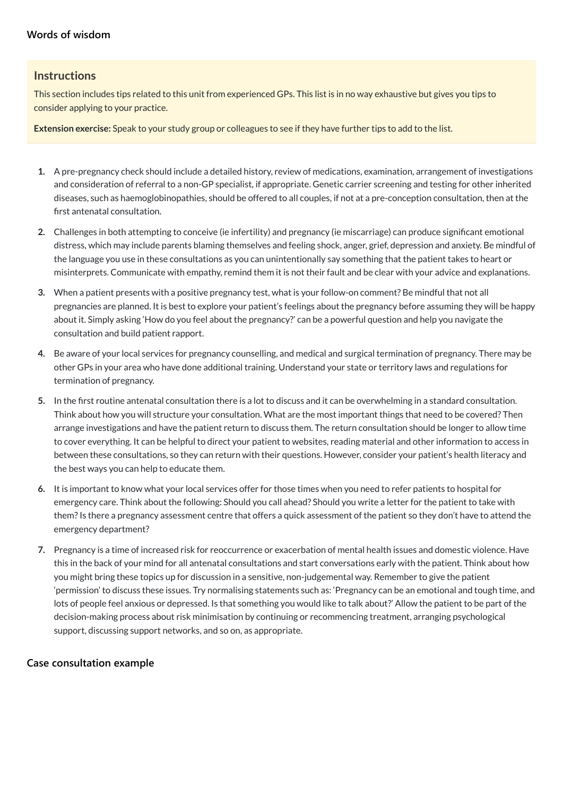### **[Words of wisdom](javascript:void(0))**

#### **Instructions**

This section includes tips related to this unit from experienced GPs. This list is in no way exhaustive but gives you tips to consider applying to your practice.

**Extension exercise:** Speak to your study group or colleagues to see if they have further tips to add to the list.

- **1.** A pre-pregnancy check should include a detailed history, review of medications, examination, arrangement of investigations and consideration of referral to a non-GP specialist, if appropriate. Genetic carrier screening and testing for other inherited diseases, such as haemoglobinopathies, should be offered to all couples, if not at a pre-conception consultation, then at the first antenatal consultation.
- **2.** Challenges in both attempting to conceive (ie infertility) and pregnancy (ie miscarriage) can produce significant emotional distress, which may include parents blaming themselves and feeling shock, anger, grief, depression and anxiety. Be mindful of the language you use in these consultations as you can unintentionally say something that the patient takes to heart or misinterprets. Communicate with empathy, remind them it is not their fault and be clear with your advice and explanations.
- **3.** When a patient presents with a positive pregnancy test, what is your follow-on comment? Be mindful that not all pregnancies are planned. It is best to explore your patient's feelings about the pregnancy before assuming they will be happy about it. Simply asking 'How do you feel about the pregnancy?' can be a powerful question and help you navigate the consultation and build patient rapport.
- **4.** Be aware of your local services for pregnancy counselling, and medical and surgical termination of pregnancy. There may be other GPs in your area who have done additional training. Understand your state or territory laws and regulations for termination of pregnancy.
- **5.** In the first routine antenatal consultation there is a lot to discuss and it can be overwhelming in a standard consultation. Think about how you will structure your consultation. What are the most important things that need to be covered? Then arrange investigations and have the patient return to discuss them. The return consultation should be longer to allow time to cover everything. It can be helpful to direct your patient to websites, reading material and other information to access in between these consultations, so they can return with their questions. However, consider your patient's health literacy and the best ways you can help to educate them.
- **6.** It is important to know what your local services offer for those times when you need to refer patients to hospital for emergency care. Think about the following: Should you call ahead? Should you write a letter for the patient to take with them?Is there a pregnancy assessment centre that offers a quick assessment of the patient so they don't have to attend the emergency department?
- **7.** Pregnancy is a time of increased risk for reoccurrence or exacerbation of mental health issues and domestic violence. Have this in the back of your mind for all antenatal consultations and start conversations early with the patient. Think about how you might bring these topics up for discussion in a sensitive, non-judgemental way. Remember to give the patient 'permission' to discuss these issues. Try normalising statements such as: 'Pregnancy can be an emotional and tough time, and

lots of people feel anxious or depressed. Is that something you would like to talk about?' Allow the patient to be part of the decision-making process about risk minimisation by continuing or recommencing treatment, arranging psychological support, discussing support networks, and so on, as appropriate.

**[Case consultation example](javascript:void(0))**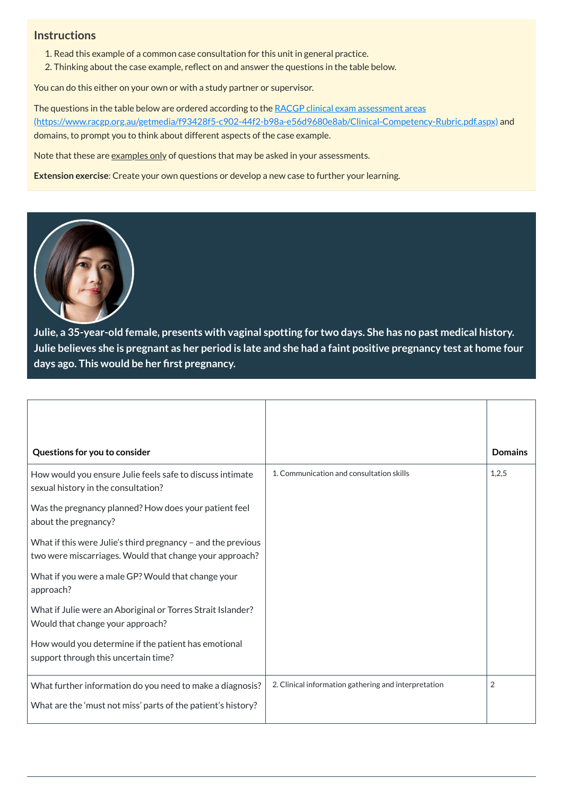# **Instructions**

- 1. Read this example of a common case consultation for this unit in general practice.
- 2. Thinking about the case example, reflect on and answer the questions in the table below.

You can do this either on your own or with a study partner or supervisor.

The questions in the table below are ordered according to the RACGP clinical exam assessment areas [\(https://www.racgp.org.au/getmedia/f93428f5-c902-44f2-b98a-e56d9680e8ab/Clinical-Competency-Rubric.pdf.aspx\)](https://www.racgp.org.au/getmedia/f93428f5-c902-44f2-b98a-e56d9680e8ab/Clinical-Competency-Rubric.pdf.aspx) and domains, to prompt you to think about different aspects of the case example.

Note that these are examples only of questions that may be asked in your assessments.

**Extension exercise**: Create your own questions or develop a new case to further your learning.



**Julie, a 35-year-old female, presents with vaginal spotting for two days. She has no past medical history.** Julie believes she is pregnant as her period is late and she had a faint positive pregnancy test at home four **days ago. This would be her first pregnancy.**

| Questions for you to consider                                                                                             |                                                      | <b>Domains</b> |
|---------------------------------------------------------------------------------------------------------------------------|------------------------------------------------------|----------------|
| How would you ensure Julie feels safe to discuss intimate<br>sexual history in the consultation?                          | 1. Communication and consultation skills             | 1,2,5          |
| Was the pregnancy planned? How does your patient feel<br>about the pregnancy?                                             |                                                      |                |
| What if this were Julie's third pregnancy $-$ and the previous<br>two were miscarriages. Would that change your approach? |                                                      |                |
| What if you were a male GP? Would that change your<br>approach?                                                           |                                                      |                |
| What if Julie were an Aboriginal or Torres Strait Islander?<br>Would that change your approach?                           |                                                      |                |
| How would you determine if the patient has emotional<br>support through this uncertain time?                              |                                                      |                |
| What further information do you need to make a diagnosis?                                                                 | 2. Clinical information gathering and interpretation | $\overline{2}$ |
| What are the 'must not miss' parts of the patient's history?                                                              |                                                      |                |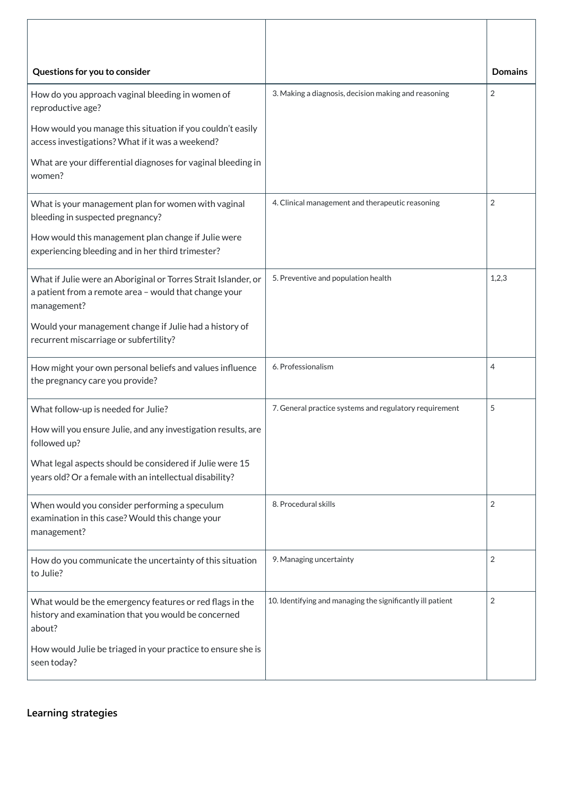| Questions for you to consider                                                                                                          |                                                            | <b>Domains</b> |
|----------------------------------------------------------------------------------------------------------------------------------------|------------------------------------------------------------|----------------|
| How do you approach vaginal bleeding in women of<br>reproductive age?                                                                  | 3. Making a diagnosis, decision making and reasoning       | $\overline{2}$ |
| How would you manage this situation if you couldn't easily<br>access investigations? What if it was a weekend?                         |                                                            |                |
| What are your differential diagnoses for vaginal bleeding in<br>women?                                                                 |                                                            |                |
| What is your management plan for women with vaginal<br>bleeding in suspected pregnancy?                                                | 4. Clinical management and therapeutic reasoning           | $\overline{2}$ |
| How would this management plan change if Julie were<br>experiencing bleeding and in her third trimester?                               |                                                            |                |
| What if Julie were an Aboriginal or Torres Strait Islander, or<br>a patient from a remote area - would that change your<br>management? | 5. Preventive and population health                        | 1,2,3          |
| Would your management change if Julie had a history of<br>recurrent miscarriage or subfertility?                                       |                                                            |                |
| How might your own personal beliefs and values influence<br>the pregnancy care you provide?                                            | 6. Professionalism                                         | 4              |
| What follow-up is needed for Julie?                                                                                                    | 7. General practice systems and regulatory requirement     | 5              |
| How will you ensure Julie, and any investigation results, are<br>followed up?                                                          |                                                            |                |
| What legal aspects should be considered if Julie were 15<br>years old? Or a female with an intellectual disability?                    |                                                            |                |
| When would you consider performing a speculum<br>examination in this case? Would this change your<br>management?                       | 8. Procedural skills                                       | 2              |
| How do you communicate the uncertainty of this situation<br>to Julie?                                                                  | 9. Managing uncertainty                                    | $\overline{2}$ |
| What would be the emergency features or red flags in the<br>history and examination that you would be concerned<br>about?              | 10. Identifying and managing the significantly ill patient | $\overline{2}$ |
| How would Julie be triaged in your practice to ensure she is<br>seen today?                                                            |                                                            |                |

**[Learning strategies](javascript:void(0))**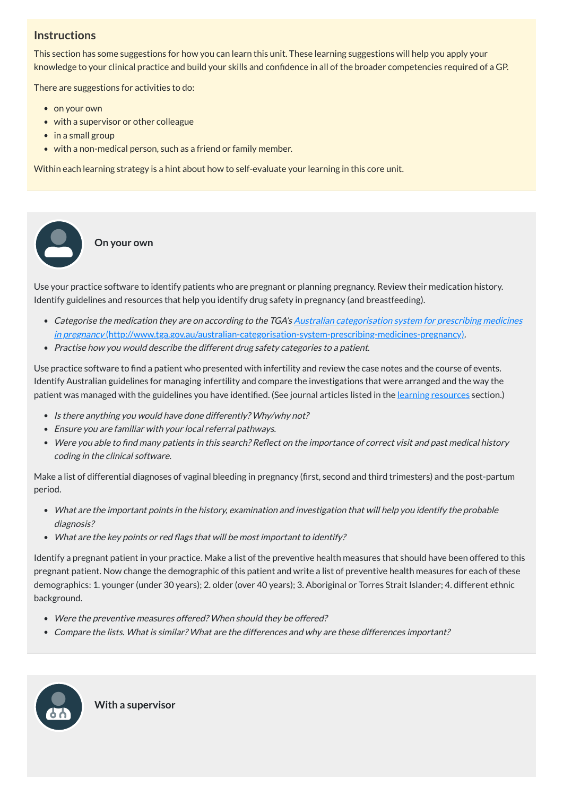# **Instructions**

This section has some suggestions for how you can learn this unit. These learning suggestions will help you apply your knowledge to your clinical practice and build your skills and confidence in all of the broader competencies required of a GP.

There are suggestions for activities to do:

• on your own

 $\bullet$ 

- with a supervisor or other colleague
- in a small group
- with a non-medical person, such as a friend or family member.

Within each learning strategy is a hint about how to self-evaluate your learning in this core unit.

- Categorise the medication they are on according to the TGA's Australian categorisation system for prescribing medicines in pregnancy [\(http://www.tga.gov.au/australian-categorisation-system-prescribing-medicines-pregnancy\)](http://www.tga.gov.au/australian-categorisation-system-prescribing-medicines-pregnancy).
- Practise how you would describe the different drug safety categories to <sup>a</sup> patient.

Use practice software to find a patient who presented with infertility and review the case notes and the course of events. Identify Australian guidelines for managing infertility and compare the investigations that were arranged and the way the patient was managed with the guidelines you have identified. (See journal articles listed in the <u>learning [resources](#page-9-0)</u> section.)

**On your own**

Use your practice software to identify patients who are pregnant or planning pregnancy. Review their medication history. Identify guidelines and resources that help you identify drug safety in pregnancy (and breastfeeding).

- Is there anything you would have done differently? Why/why not?
- Ensure you are familiar with your local referral pathways.
- Were you able to find many patients in this search? Reflect on the importance of correct visit and past medical history coding in the clinical software.

Identify a pregnant patient in your practice. Make a list of the preventive health measures that should have been offered to this pregnant patient. Now change the demographic of this patient and write a list of preventive health measures for each of these demographics: 1. younger (under 30 years); 2. older (over 40 years); 3. Aboriginal or Torres Strait Islander; 4. different ethnic background. e your provided and the controller and the controller and the controller and the controller and the controller and the controller and the controller and the controller and the controller and the controller and the controll

Make a list of differential diagnoses of vaginal bleeding in pregnancy (first, second and third trimesters) and the post-partum period.

- What are the important points in the history, examination and investigation that will help you identify the probable diagnosis?
- What are the key points or red flags that will be most important to identify?

- Were the preventive measures offered? When should they be offered?
- Compare the lists. What is similar? What are the differences and why are these differences important?



**With a supervisor**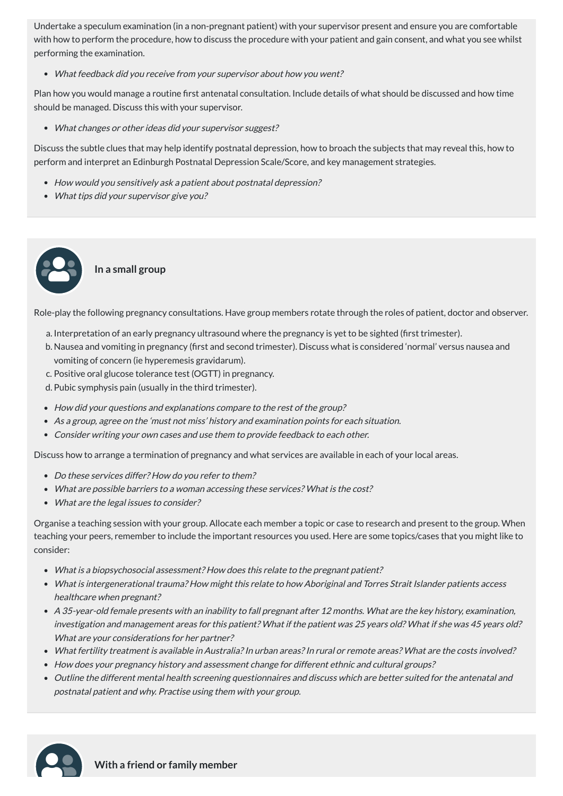Undertake a speculum examination (in a non-pregnant patient) with your supervisor present and ensure you are comfortable with how to perform the procedure, how to discuss the procedure with your patient and gain consent, and what you see whilst performing the examination.

What feedback did you receive from your supervisor about how you went?

Plan how you would manage a routine first antenatal consultation. Include details of what should be discussed and how time should be managed. Discuss this with your supervisor.

What changes or other ideas did your supervisor suggest?

Discuss the subtle clues that may help identify postnatal depression, how to broach the subjects that may reveal this, how to perform and interpret an Edinburgh Postnatal Depression Scale/Score, and key management strategies.

- How would you sensitively ask <sup>a</sup> patient about postnatal depression?
- What tips did your supervisor give you?

- Do these services differ? How do you refer to them?
- What are possible barriers to <sup>a</sup> woman accessing these services? What is the cost?
- What are the legal issues to consider?

# **In a small group**

Role-play the following pregnancy consultations. Have group members rotate through the roles of patient, doctor and observer.

- a. Interpretation of an early pregnancy ultrasound where the pregnancy is yet to be sighted (first trimester).
- b. Nausea and vomiting in pregnancy (first and second trimester). Discuss what is considered 'normal' versus nausea and vomiting of concern (ie hyperemesis gravidarum).
- c. Positive oral glucose tolerance test (OGTT) in pregnancy.
- d. Pubic symphysis pain (usually in the third trimester).
- How did your questions and explanations compare to the rest of the group?
- As <sup>a</sup> group, agree on the 'must not miss' history and examination points for each situation.
- Consider writing your own cases and use them to provide feedback to each other.

Discuss how to arrange a termination of pregnancy and what services are available in each of your local areas.

Organise a teaching session with your group. Allocate each member a topic or case to research and present to the group. When teaching your peers, remember to include the important resources you used. Here are some topics/cases that you might like to consider:

- What is <sup>a</sup> biopsychosocial assessment? How does this relate to the pregnant patient?
- What is intergenerational trauma? How might this relate to how Aboriginal and Torres Strait Islander patients access healthcare when pregnant?
- 
- A 35-year-old female presents with an inability to fall pregnant after 12 months. What are the key history, examination, investigation and management areas for this patient? What if the patient was 25 years old? What if she was 45 years old? What are your considerations for her partner?
- What fertility treatment is available in Australia?In urban areas?In rural or remote areas? What are the costs involved?
- How does your pregnancy history and assessment change for different ethnic and cultural groups?
- Outline the different mental health screening questionnaires and discuss which are better suited for the antenatal and postnatal patient and why. Practise using them with your group.



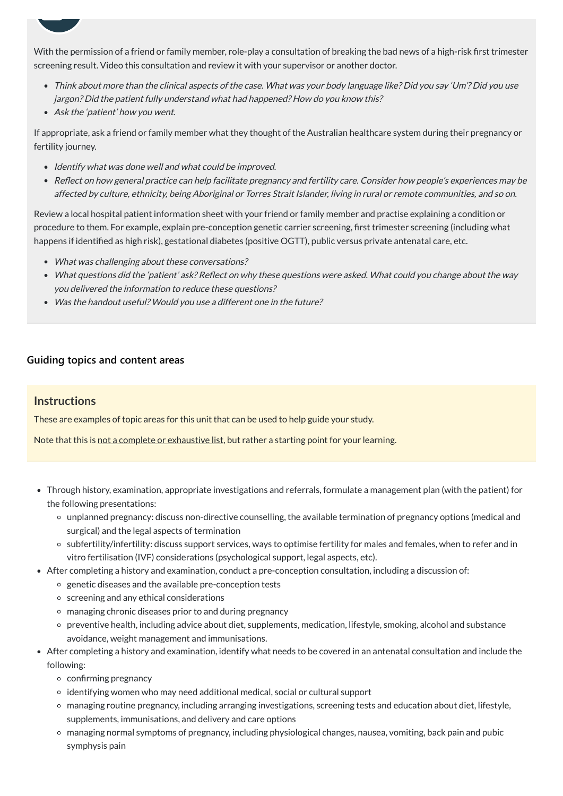With the permission of a friend or family member, role-play a consultation of breaking the bad news of a high-risk first trimester screening result. Video this consultation and review it with your supervisor or another doctor.

- Think about more than the clinical aspects of the case. What was your body language like? Did you say 'Um'? Did you use jargon? Did the patient fully understand what had happened? How do you know this?
- Ask the 'patient' how you went.

 $\overline{\phantom{a}}$ 

- Identify what was done well and what could be improved.
- Reflect on how general practice can help facilitate pregnancy and fertility care. Consider how people's experiences may be affected by culture, ethnicity, being Aboriginal or Torres Strait Islander, living in rural or remote communities, and so on.

If appropriate, ask a friend or family member what they thought of the Australian healthcare system during their pregnancy or fertility journey.

Review a local hospital patient information sheet with your friend or family member and practise explaining a condition or procedure to them. For example, explain pre-conception genetic carrier screening, first trimester screening (including what happens if identified as high risk), gestational diabetes (positive OGTT), public versus private antenatal care, etc.

- What was challenging about these conversations?
- What questions did the 'patient' ask? Reflect on why these questions were asked. What could you change about the way you delivered the information to reduce these questions?
- Was the handout useful? Would you use <sup>a</sup> different one in the future?

# **[Guiding topics and content areas](javascript:void(0))**

# **Instructions**

These are examples of topic areas for this unit that can be used to help guide your study.

Note that this is not a complete or exhaustive list, but rather a starting point for your learning.

- Through history, examination, appropriate investigations and referrals, formulate a management plan (with the patient) for the following presentations:
	- unplanned pregnancy: discuss non-directive counselling, the available termination of pregnancy options (medical and surgical) and the legal aspects of termination
	- subfertility/infertility: discuss support services, ways to optimise fertility for males and females, when to refer and in vitro fertilisation (IVF) considerations (psychological support, legal aspects, etc).
- After completing a history and examination, conduct a pre-conception consultation, including a discussion of:
	- genetic diseases and the available pre-conception tests
	- $\circ$  screening and any ethical considerations
		-
	- managing chronic diseases prior to and during pregnancy
	- preventive health, including advice about diet, supplements, medication, lifestyle, smoking, alcohol and substance avoidance, weight management and immunisations.
- After completing a history and examination, identify what needs to be covered in an antenatal consultation and include the following:
	- confirming pregnancy
	- identifying women who may need additional medical, social or cultural support
	- managing routine pregnancy, including arranging investigations, screening tests and education about diet, lifestyle, supplements, immunisations, and delivery and care options
	- managing normal symptoms of pregnancy, including physiological changes, nausea, vomiting, back pain and pubic symphysis pain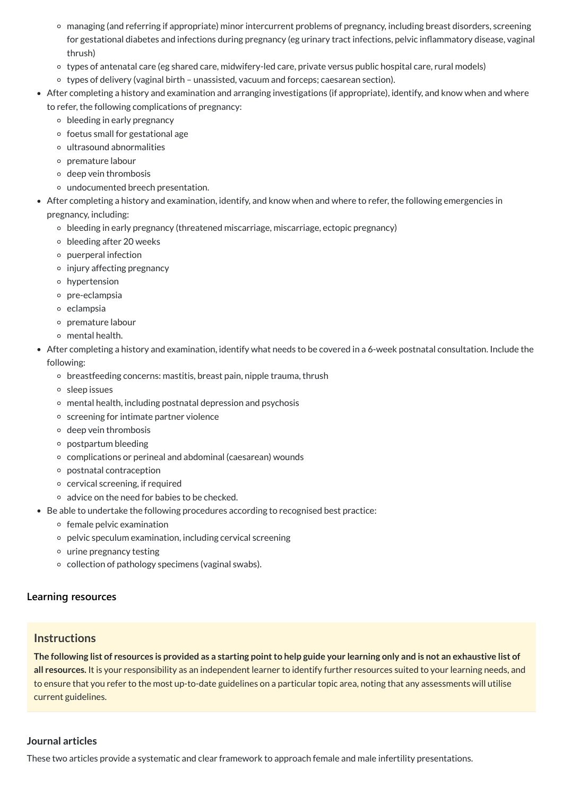The following list of resources is provided as a starting point to help guide your learning only and is not an exhaustive list of **all resources.** It is your responsibility as an independent learner to identify further resources suited to your learning needs, and to ensure that you refer to the most up-to-date guidelines on a particular topic area, noting that any assessments will utilise current guidelines.

- managing (and referring if appropriate) minor intercurrent problems of pregnancy, including breast disorders, screening for gestational diabetes and infections during pregnancy (eg urinary tract infections, pelvic inflammatory disease, vaginal thrush)
- types of antenatal care (eg shared care, midwifery-led care, private versus public hospital care, rural models)
- types of delivery (vaginal birth unassisted, vacuum and forceps; caesarean section).
- After completing a history and examination and arranging investigations (if appropriate), identify, and know when and where to refer, the following complications of pregnancy:
	- $\circ$  bleeding in early pregnancy
	- $\circ$  foetus small for gestational age
	- ultrasound abnormalities
	- premature labour
	- $\circ$  deep vein thrombosis
	- undocumented breech presentation.
- After completing a history and examination, identify, and know when and where to refer, the following emergencies in pregnancy, including:
	- bleeding in early pregnancy (threatened miscarriage, miscarriage, ectopic pregnancy)
	- $\circ$  bleeding after 20 weeks
	- puerperal infection
	- $\circ$  injury affecting pregnancy
	- hypertension
	- o pre-eclampsia
	- eclampsia
	- premature labour
	- mental health.
- After completing a history and examination, identify what needs to be covered in a 6-week postnatal consultation. Include the following:
	- $\circ$  breastfeeding concerns: mastitis, breast pain, nipple trauma, thrush
	- sleep issues
	- mental health, including postnatal depression and psychosis
	- o screening for intimate partner violence
	- $\circ$  deep vein thrombosis
	- $\circ$  postpartum bleeding
	- complications or perineal and abdominal (caesarean) wounds
	- postnatal contraception
	- $\circ$  cervical screening, if required
	- advice on the need for babies to be checked.
- Be able to undertake the following procedures according to recognised best practice:
	- $\circ$  female pelvic examination
	- pelvic speculum examination, including cervical screening
	- urine pregnancy testing
	- $\circ$  collection of pathology specimens (vaginal swabs).

#### **[Learning resources](javascript:void(0))**

#### **Instructions**

#### <span id="page-9-0"></span>**Journal articles**

These two articles provide a systematic and clear framework to approach female and male infertility presentations.